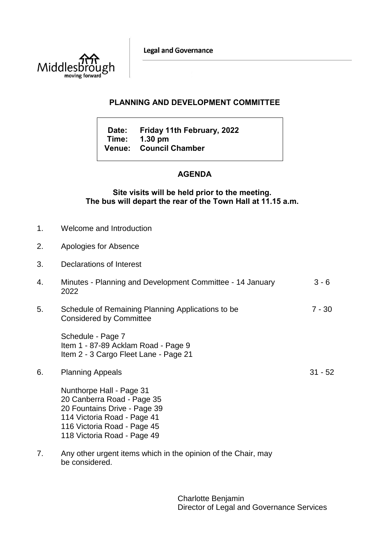**Legal and Governance** 



## **PLANNING AND DEVELOPMENT COMMITTEE**

**Date: Friday 11th February, 2022 Time: 1.30 pm Venue: Council Chamber**

# **AGENDA**

## **Site visits will be held prior to the meeting. The bus will depart the rear of the Town Hall at 11.15 a.m.**

- 1. Welcome and Introduction
- 2. Apologies for Absence
- 3. Declarations of Interest
- 4. Minutes Planning and Development Committee 14 January 2022 3 - 6
- 5. Schedule of Remaining Planning Applications to be Considered by Committee 7 - 30

Schedule - Page 7 Item 1 - 87-89 Acklam Road - Page 9 Item 2 - 3 Cargo Fleet Lane - Page 21

6. Planning Appeals

Nunthorpe Hall - Page 31 20 Canberra Road - Page 35 20 Fountains Drive - Page 39 114 Victoria Road - Page 41 116 Victoria Road - Page 45 118 Victoria Road - Page 49

7. Any other urgent items which in the opinion of the Chair, may be considered.

> Charlotte Benjamin Director of Legal and Governance Services

31 - 52